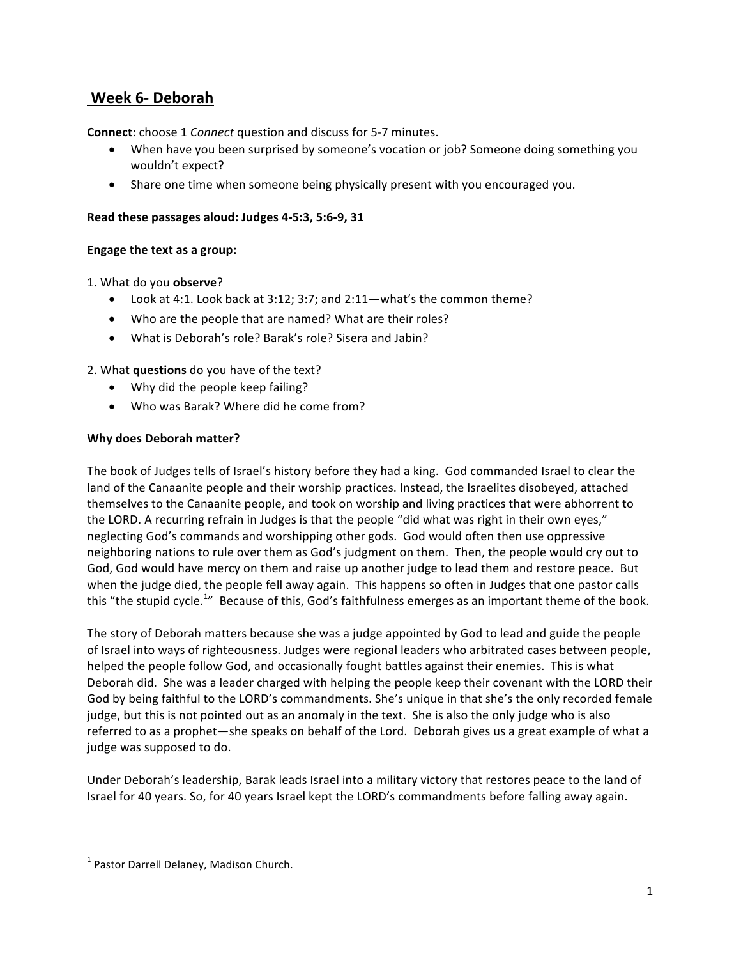# **Week 6- Deborah**

**Connect:** choose 1 *Connect* question and discuss for 5-7 minutes.

- When have you been surprised by someone's vocation or job? Someone doing something you wouldn't expect?
- Share one time when someone being physically present with you encouraged you.

## Read these passages aloud: Judges 4-5:3, 5:6-9, 31

## **Engage the text as a group:**

1. What do you **observe**? 

- Look at 4:1. Look back at 3:12; 3:7; and  $2:11$ —what's the common theme?
- Who are the people that are named? What are their roles?
- What is Deborah's role? Barak's role? Sisera and Jabin?

2. What **questions** do you have of the text?

- Why did the people keep failing?
- Who was Barak? Where did he come from?

## **Why does Deborah matter?**

The book of Judges tells of Israel's history before they had a king. God commanded Israel to clear the land of the Canaanite people and their worship practices. Instead, the Israelites disobeyed, attached themselves to the Canaanite people, and took on worship and living practices that were abhorrent to the LORD. A recurring refrain in Judges is that the people "did what was right in their own eyes," neglecting God's commands and worshipping other gods. God would often then use oppressive neighboring nations to rule over them as God's judgment on them. Then, the people would cry out to God, God would have mercy on them and raise up another judge to lead them and restore peace. But when the judge died, the people fell away again. This happens so often in Judges that one pastor calls this "the stupid cycle.<sup>1</sup>" Because of this, God's faithfulness emerges as an important theme of the book.

The story of Deborah matters because she was a judge appointed by God to lead and guide the people of Israel into ways of righteousness. Judges were regional leaders who arbitrated cases between people, helped the people follow God, and occasionally fought battles against their enemies. This is what Deborah did. She was a leader charged with helping the people keep their covenant with the LORD their God by being faithful to the LORD's commandments. She's unique in that she's the only recorded female judge, but this is not pointed out as an anomaly in the text. She is also the only judge who is also referred to as a prophet—she speaks on behalf of the Lord. Deborah gives us a great example of what a judge was supposed to do.

Under Deborah's leadership, Barak leads Israel into a military victory that restores peace to the land of Israel for 40 years. So, for 40 years Israel kept the LORD's commandments before falling away again.

<u> 1989 - Johann Barn, mars ann an t-Amhain an t-Amhain an t-Amhain an t-Amhain an t-Amhain an t-Amhain an t-Amh</u>

 $1$  Pastor Darrell Delaney, Madison Church.